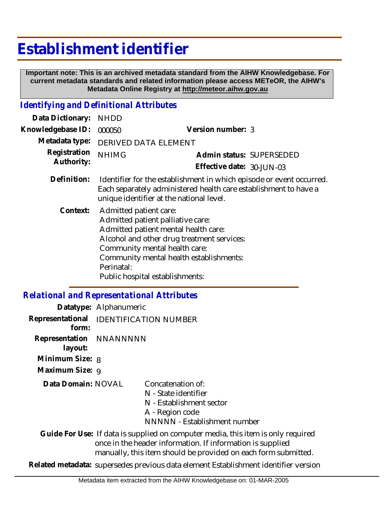# **Establishment identifier**

 **Important note: This is an archived metadata standard from the AIHW Knowledgebase. For current metadata standards and related information please access METeOR, the AIHW's Metadata Online Registry at http://meteor.aihw.gov.au**

#### *Identifying and Definitional Attributes*

| Data Dictionary:           | <b>NHDD</b>                                                                                                                                                                                                                                                                    |                                                       |  |
|----------------------------|--------------------------------------------------------------------------------------------------------------------------------------------------------------------------------------------------------------------------------------------------------------------------------|-------------------------------------------------------|--|
| Knowledgebase ID:          | 000050                                                                                                                                                                                                                                                                         | Version number: 3                                     |  |
| Metadata type:             | <b>DERIVED DATA ELEMENT</b>                                                                                                                                                                                                                                                    |                                                       |  |
| Registration<br>Authority: | <b>NHIMG</b>                                                                                                                                                                                                                                                                   | Admin status: SUPERSEDED<br>Effective date: 30-JUN-03 |  |
| Definition:                | Identifier for the establishment in which episode or event occurred.<br>Each separately administered health care establishment to have a<br>unique identifier at the national level.                                                                                           |                                                       |  |
| Context:                   | Admitted patient care:<br>Admitted patient palliative care:<br>Admitted patient mental health care:<br>Alcohol and other drug treatment services:<br>Community mental health care:<br>Community mental health establishments:<br>Perinatal:<br>Public hospital establishments: |                                                       |  |

## *Relational and Representational Attributes*

|                                    | Datatype: Alphanumeric                 |                                                                                                                                                                                                                  |
|------------------------------------|----------------------------------------|------------------------------------------------------------------------------------------------------------------------------------------------------------------------------------------------------------------|
| form:                              | Representational IDENTIFICATION NUMBER |                                                                                                                                                                                                                  |
| Representation NNANNNNN<br>layout: |                                        |                                                                                                                                                                                                                  |
| Minimum Size: 8                    |                                        |                                                                                                                                                                                                                  |
| Maximum Size: 9                    |                                        |                                                                                                                                                                                                                  |
| Data Domain: NOVAL                 |                                        | Concatenation of:<br>N - State identifier<br>N - Establishment sector<br>A - Region code<br>NNNNN - Establishment number                                                                                         |
|                                    |                                        | Guide For Use: If data is supplied on computer media, this item is only required<br>once in the header information. If information is supplied<br>manually, this item should be provided on each form submitted. |

**Related metadata:** supersedes previous data element Establishment identifier version